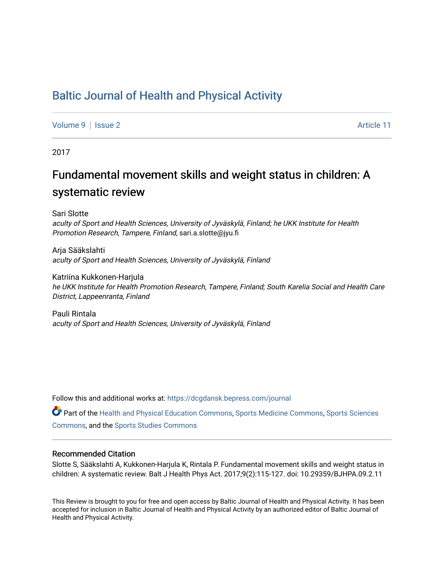# [Baltic Journal of Health and Physical Activity](https://dcgdansk.bepress.com/journal)

[Volume 9](https://dcgdansk.bepress.com/journal/vol9) | [Issue 2](https://dcgdansk.bepress.com/journal/vol9/iss2) Article 11

2017

# Fundamental movement skills and weight status in children: A systematic review

Sari Slotte aculty of Sport and Health Sciences, University of Jyväskylä, Finland; he UKK Institute for Health Promotion Research, Tampere, Finland, sari.a.slotte@jyu.fi

Arja Sääkslahti aculty of Sport and Health Sciences, University of Jyväskylä, Finland

Katriina Kukkonen-Harjula he UKK Institute for Health Promotion Research, Tampere, Finland; South Karelia Social and Health Care District, Lappeenranta, Finland

Pauli Rintala aculty of Sport and Health Sciences, University of Jyväskylä, Finland

Follow this and additional works at: [https://dcgdansk.bepress.com/journal](https://dcgdansk.bepress.com/journal?utm_source=dcgdansk.bepress.com%2Fjournal%2Fvol9%2Fiss2%2F11&utm_medium=PDF&utm_campaign=PDFCoverPages)

Part of the [Health and Physical Education Commons](http://network.bepress.com/hgg/discipline/1327?utm_source=dcgdansk.bepress.com%2Fjournal%2Fvol9%2Fiss2%2F11&utm_medium=PDF&utm_campaign=PDFCoverPages), [Sports Medicine Commons,](http://network.bepress.com/hgg/discipline/1331?utm_source=dcgdansk.bepress.com%2Fjournal%2Fvol9%2Fiss2%2F11&utm_medium=PDF&utm_campaign=PDFCoverPages) [Sports Sciences](http://network.bepress.com/hgg/discipline/759?utm_source=dcgdansk.bepress.com%2Fjournal%2Fvol9%2Fiss2%2F11&utm_medium=PDF&utm_campaign=PDFCoverPages) [Commons](http://network.bepress.com/hgg/discipline/759?utm_source=dcgdansk.bepress.com%2Fjournal%2Fvol9%2Fiss2%2F11&utm_medium=PDF&utm_campaign=PDFCoverPages), and the [Sports Studies Commons](http://network.bepress.com/hgg/discipline/1198?utm_source=dcgdansk.bepress.com%2Fjournal%2Fvol9%2Fiss2%2F11&utm_medium=PDF&utm_campaign=PDFCoverPages) 

## Recommended Citation

Slotte S, Sääkslahti A, Kukkonen-Harjula K, Rintala P. Fundamental movement skills and weight status in children: A systematic review. Balt J Health Phys Act. 2017;9(2):115-127. doi: 10.29359/BJHPA.09.2.11

This Review is brought to you for free and open access by Baltic Journal of Health and Physical Activity. It has been accepted for inclusion in Baltic Journal of Health and Physical Activity by an authorized editor of Baltic Journal of Health and Physical Activity.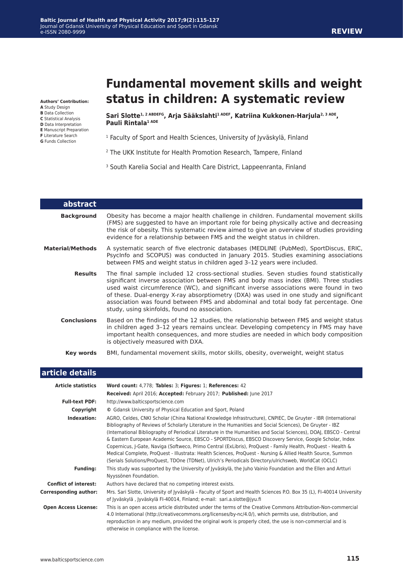#### **Baltic Journal of Health and Physical Activity 2017;9(2):115-127** Journal of Gdansk University of Physical Education and Sport in Gdansk e-ISSN 2080-9999

#### **Authors' Contribution:**

- **A** Study Design
- **B** Data Collection
- **C** Statistical Analysis
- **D** Data Interpretation **E** Manuscript Preparation
- **F** Literature Search
- **G** Funds Collection

# **Fundamental movement skills and weight status in children: A systematic review**

Sari Slotte<sup>1, 2 ABDEFG</sup>, Arja Sääkslahti<sup>1 ADEF</sup>, Katriina Kukkonen-Harjula<sup>2, 3 ADE</sup>, **Pauli Rintala1 ADE**

- <sup>1</sup> Faculty of Sport and Health Sciences, University of Jyväskylä, Finland
- 2 The UKK Institute for Health Promotion Research, Tampere, Finland
- <sup>3</sup> South Karelia Social and Health Care District, Lappeenranta, Finland

| <b>abstract</b>         |                                                                                                                                                                                                                                                                                                                                                                                                                                                                                                           |
|-------------------------|-----------------------------------------------------------------------------------------------------------------------------------------------------------------------------------------------------------------------------------------------------------------------------------------------------------------------------------------------------------------------------------------------------------------------------------------------------------------------------------------------------------|
| <b>Background</b>       | Obesity has become a major health challenge in children. Fundamental movement skills<br>(FMS) are suggested to have an important role for being physically active and decreasing<br>the risk of obesity. This systematic review aimed to give an overview of studies providing<br>evidence for a relationship between FMS and the weight status in children.                                                                                                                                              |
| <b>Material/Methods</b> | A systematic search of five electronic databases (MEDLINE (PubMed), SportDiscus, ERIC,<br>Psyclnfo and SCOPUS) was conducted in January 2015. Studies examining associations<br>between FMS and weight status in children aged 3-12 years were included.                                                                                                                                                                                                                                                  |
| <b>Results</b>          | The final sample included 12 cross-sectional studies. Seven studies found statistically<br>significant inverse association between FMS and body mass index (BMI). Three studies<br>used waist circumference (WC), and significant inverse associations were found in two<br>of these. Dual-energy X-ray absorptiometry (DXA) was used in one study and significant<br>association was found between FMS and abdominal and total body fat percentage. One<br>study, using skinfolds, found no association. |
| <b>Conclusions</b>      | Based on the findings of the 12 studies, the relationship between FMS and weight status<br>in children aged 3-12 years remains unclear. Developing competency in FMS may have<br>important health consequences, and more studies are needed in which body composition<br>is objectively measured with DXA.                                                                                                                                                                                                |
| Key words               | BMI, fundamental movement skills, motor skills, obesity, overweight, weight status                                                                                                                                                                                                                                                                                                                                                                                                                        |

| article details              |                                                                                                                                                                                                                                                                                                                                                                                                                                                                                                                                                                                                                                                                                                                                                                                                      |
|------------------------------|------------------------------------------------------------------------------------------------------------------------------------------------------------------------------------------------------------------------------------------------------------------------------------------------------------------------------------------------------------------------------------------------------------------------------------------------------------------------------------------------------------------------------------------------------------------------------------------------------------------------------------------------------------------------------------------------------------------------------------------------------------------------------------------------------|
| <b>Article statistics</b>    | Word count: 4,778; Tables: 3; Figures: 1; References: 42                                                                                                                                                                                                                                                                                                                                                                                                                                                                                                                                                                                                                                                                                                                                             |
|                              | Received: April 2016; Accepted: February 2017; Published: June 2017                                                                                                                                                                                                                                                                                                                                                                                                                                                                                                                                                                                                                                                                                                                                  |
| <b>Full-text PDF:</b>        | http://www.balticsportscience.com                                                                                                                                                                                                                                                                                                                                                                                                                                                                                                                                                                                                                                                                                                                                                                    |
| Copyright                    | © Gdansk University of Physical Education and Sport, Poland                                                                                                                                                                                                                                                                                                                                                                                                                                                                                                                                                                                                                                                                                                                                          |
| Indexation:                  | AGRO, Celdes, CNKI Scholar (China National Knowledge Infrastructure), CNPIEC, De Gruyter - IBR (International<br>Bibliography of Reviews of Scholarly Literature in the Humanities and Social Sciences), De Gruyter - IBZ<br>(International Bibliography of Periodical Literature in the Humanities and Social Sciences), DOAJ, EBSCO - Central<br>& Eastern European Academic Source, EBSCO - SPORTDiscus, EBSCO Discovery Service, Google Scholar, Index<br>Copernicus, J-Gate, Naviga (Softweco, Primo Central (ExLibris), ProQuest - Family Health, ProQuest - Health &<br>Medical Complete, ProQuest - Illustrata: Health Sciences, ProQuest - Nursing & Allied Health Source, Summon<br>(Serials Solutions/ProQuest, TDOne (TDNet), Ulrich's Periodicals Directory/ulrichsweb, WorldCat (OCLC) |
| <b>Funding:</b>              | This study was supported by the University of Jyväskylä, the Juho Vainio Foundation and the Ellen and Artturi<br>Nyyssönen Foundation.                                                                                                                                                                                                                                                                                                                                                                                                                                                                                                                                                                                                                                                               |
| <b>Conflict of interest:</b> | Authors have declared that no competing interest exists.                                                                                                                                                                                                                                                                                                                                                                                                                                                                                                                                                                                                                                                                                                                                             |
| <b>Corresponding author:</b> | Mrs. Sari Slotte, University of Jyväskylä - Faculty of Sport and Health Sciences P.O. Box 35 (L), FI-40014 University<br>of Jyväskylä, Jyväskylä FI-40014, Finland; e-mail: sari.a.slotte@jyu.fi                                                                                                                                                                                                                                                                                                                                                                                                                                                                                                                                                                                                     |
| <b>Open Access License:</b>  | This is an open access article distributed under the terms of the Creative Commons Attribution-Non-commercial<br>4.0 International (http://creativecommons.org/licenses/by-nc/4.0/), which permits use, distribution, and<br>reproduction in any medium, provided the original work is properly cited, the use is non-commercial and is<br>otherwise in compliance with the license.                                                                                                                                                                                                                                                                                                                                                                                                                 |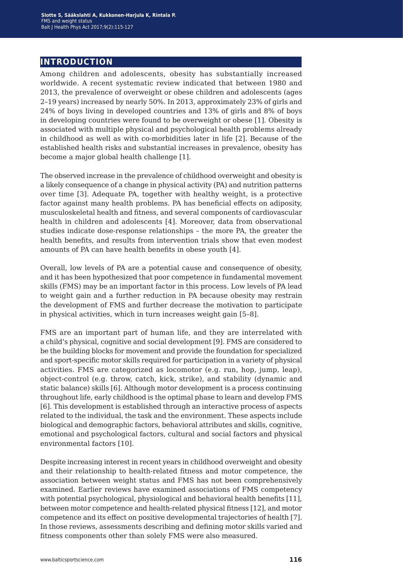# **introduction**

Among children and adolescents, obesity has substantially increased worldwide. A recent systematic review indicated that between 1980 and 2013, the prevalence of overweight or obese children and adolescents (ages 2–19 years) increased by nearly 50%. In 2013, approximately 23% of girls and 24% of boys living in developed countries and 13% of girls and 8% of boys in developing countries were found to be overweight or obese [1]. Obesity is associated with multiple physical and psychological health problems already in childhood as well as with co-morbidities later in life [2]. Because of the established health risks and substantial increases in prevalence, obesity has become a major global health challenge [1].

The observed increase in the prevalence of childhood overweight and obesity is a likely consequence of a change in physical activity (PA) and nutrition patterns over time [3]. Adequate PA, together with healthy weight, is a protective factor against many health problems. PA has beneficial effects on adiposity, musculoskeletal health and fitness, and several components of cardiovascular health in children and adolescents [4]. Moreover, data from observational studies indicate dose-response relationships – the more PA, the greater the health benefits, and results from intervention trials show that even modest amounts of PA can have health benefits in obese youth [4].

Overall, low levels of PA are a potential cause and consequence of obesity, and it has been hypothesized that poor competence in fundamental movement skills (FMS) may be an important factor in this process. Low levels of PA lead to weight gain and a further reduction in PA because obesity may restrain the development of FMS and further decrease the motivation to participate in physical activities, which in turn increases weight gain [5–8].

FMS are an important part of human life, and they are interrelated with a child's physical, cognitive and social development [9]. FMS are considered to be the building blocks for movement and provide the foundation for specialized and sport-specific motor skills required for participation in a variety of physical activities. FMS are categorized as locomotor (e.g. run, hop, jump, leap), object-control (e.g. throw, catch, kick, strike), and stability (dynamic and static balance) skills [6]. Although motor development is a process continuing throughout life, early childhood is the optimal phase to learn and develop FMS [6]. This development is established through an interactive process of aspects related to the individual, the task and the environment. These aspects include biological and demographic factors, behavioral attributes and skills, cognitive, emotional and psychological factors, cultural and social factors and physical environmental factors [10].

Despite increasing interest in recent years in childhood overweight and obesity and their relationship to health-related fitness and motor competence, the association between weight status and FMS has not been comprehensively examined. Earlier reviews have examined associations of FMS competency with potential psychological, physiological and behavioral health benefits [11], between motor competence and health-related physical fitness [12], and motor competence and its effect on positive developmental trajectories of health [7]. In those reviews, assessments describing and defining motor skills varied and fitness components other than solely FMS were also measured.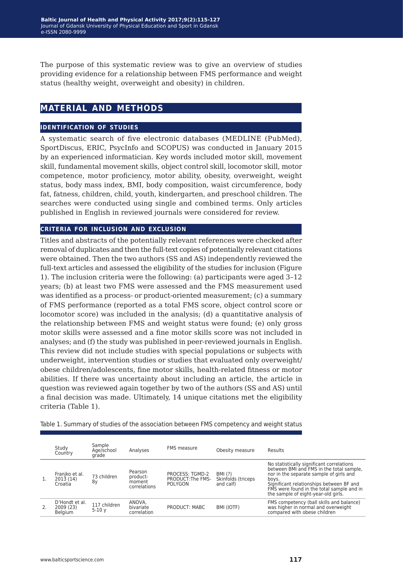The purpose of this systematic review was to give an overview of studies providing evidence for a relationship between FMS performance and weight status (healthy weight, overweight and obesity) in children.

# **material and methods**

## **identification of studies**

A systematic search of five electronic databases (MEDLINE (PubMed), SportDiscus, ERIC, PsycInfo and SCOPUS) was conducted in January 2015 by an experienced informatician. Key words included motor skill, movement skill, fundamental movement skills, object control skill, locomotor skill, motor competence, motor proficiency, motor ability, obesity, overweight, weight status, body mass index, BMI, body composition, waist circumference, body fat, fatness, children, child, youth, kindergarten, and preschool children. The searches were conducted using single and combined terms. Only articles published in English in reviewed journals were considered for review.

## **criteria for inclusion and exclusion**

Titles and abstracts of the potentially relevant references were checked after removal of duplicates and then the full-text copies of potentially relevant citations were obtained. Then the two authors (SS and AS) independently reviewed the full-text articles and assessed the eligibility of the studies for inclusion (Figure 1). The inclusion criteria were the following: (a) participants were aged 3–12 years; (b) at least two FMS were assessed and the FMS measurement used was identified as a process- or product-oriented measurement; (c) a summary of FMS performance (reported as a total FMS score, object control score or locomotor score) was included in the analysis; (d) a quantitative analysis of the relationship between FMS and weight status were found; (e) only gross motor skills were assessed and a fine motor skills score was not included in analyses; and (f) the study was published in peer-reviewed journals in English. This review did not include studies with special populations or subjects with underweight, intervention studies or studies that evaluated only overweight/ obese children/adolescents, fine motor skills, health-related fitness or motor abilities. If there was uncertainty about including an article, the article in question was reviewed again together by two of the authors (SS and AS) until a final decision was made. Ultimately, 14 unique citations met the eligibility criteria (Table 1).

Table 1. Summary of studies of the association between FMS competency and weight status

| Study<br>Country                       | Sample<br>Age/school<br>grade | Analyses                                      | <b>FMS</b> measure                              | Obesity measure                            | Results                                                                                                                                                                                                                                                                   |
|----------------------------------------|-------------------------------|-----------------------------------------------|-------------------------------------------------|--------------------------------------------|---------------------------------------------------------------------------------------------------------------------------------------------------------------------------------------------------------------------------------------------------------------------------|
| Franiko et al.<br>2013(14)<br>Croatia  | 73 children<br>8y             | Pearson<br>product-<br>moment<br>correlations | PROCESS: TGMD-2<br>PRODUCT: The FMS-<br>POLYGON | BMI (?)<br>Skinfolds (triceps<br>and calf) | No statistically significant correlations<br>between BMI and FMS in the total sample,<br>nor in the separate sample of girls and<br>boys.<br>Significant relationships between BF and<br>FMS were found in the total sample and in<br>the sample of eight-year-old girls. |
| D'Hondt et al.<br>2009 (23)<br>Belaium | 117 children<br>$5-10y$       | ANOVA.<br>bivariate<br>correlation            | PRODUCT: MABC                                   | BMI (IOTF)                                 | FMS competency (ball skills and balance)<br>was higher in normal and overweight<br>compared with obese children                                                                                                                                                           |

Ļ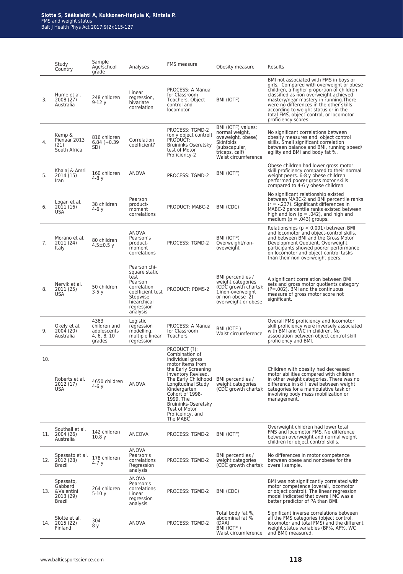|     | Study<br>Country                                          | Sample<br>Age/school<br>grade                                | Analyses                                                                                                                                 | <b>FMS</b> measure                                                                                                                                                                                                                                                                                         | Obesity measure                                                                                                                  | Results                                                                                                                                                                                                                                                                                                                                                                 |  |  |
|-----|-----------------------------------------------------------|--------------------------------------------------------------|------------------------------------------------------------------------------------------------------------------------------------------|------------------------------------------------------------------------------------------------------------------------------------------------------------------------------------------------------------------------------------------------------------------------------------------------------------|----------------------------------------------------------------------------------------------------------------------------------|-------------------------------------------------------------------------------------------------------------------------------------------------------------------------------------------------------------------------------------------------------------------------------------------------------------------------------------------------------------------------|--|--|
| 3.  | Hume et al.<br>2008 (27)<br>Australia                     | 248 children<br>$9-12y$                                      | Linear<br>regression,<br>bivariate<br>correlation                                                                                        | PROCESS: A Manual<br>for Classroom<br>Teachers. Object<br>control and<br>locomotor                                                                                                                                                                                                                         | BMI (IOTF)                                                                                                                       | BMI not associated with FMS in boys or<br>girls. Compared with overweight or obese<br>children, a higher proportion of children<br>classified as non-overweight achieved<br>mastery/near mastery in running. There<br>were no differences in the other skills<br>according to weight status or in the<br>total FMS, object-control, or locomotor<br>proficiency scores. |  |  |
| 4.  | Kemp &<br>Pienaar 2013<br>(21)<br>South Africa            | 816 children<br>$6.84 (+0.39)$<br>SD)                        | Correlation<br>coefficient?                                                                                                              | PROCESS: TGMD-2<br>(only object control)<br>PRODUCT:<br><b>Bruininks Oseretsky</b><br>test of Motor<br>Proficiency-2                                                                                                                                                                                       | BMI (IOTF) values:<br>normal weight,<br>oveweight, obese)<br>Skinfolds<br>(subscapular,<br>triceps, calf)<br>Waist circumference | No significant correlations between<br>obesity measures and object control<br>skills. Small significant correlation<br>between balance and BMI, running speed/<br>agility and BMI and body fat %.                                                                                                                                                                       |  |  |
| 5.  | Khalaj & Amri<br>2014 (15)<br>Iran                        | 160 children<br>4-8 y                                        | ANOVA                                                                                                                                    | PROCESS: TGMD-2                                                                                                                                                                                                                                                                                            | BMI (IOTF)                                                                                                                       | Obese children had lower gross motor<br>skill proficiency compared to their normal<br>weight peers. 6-8 y obese children<br>performed poorer gross motor skills<br>compared to 4-6 y obese children                                                                                                                                                                     |  |  |
| 6.  | Logan et al.<br>2011 (16)<br><b>USA</b>                   | 38 children<br>4-6 y                                         | Pearson<br>product-<br>moment<br>correlations                                                                                            | PRODUCT: MABC-2                                                                                                                                                                                                                                                                                            | BMI (CDC)                                                                                                                        | No significant relationship existed<br>between MABC-2 and BMI percentile ranks<br>$(r = -.237)$ . Significant differences in<br>MABC-2 percentile ranks existed between<br>high and low ( $p = .042$ ), and high and<br>medium ( $p = .043$ ) groups.                                                                                                                   |  |  |
| 7.  | Morano et al.<br>2011 (24)<br>Italy                       | 80 children<br>$4.5 \pm 0.5$ y                               | ANOVA<br>Pearson's<br>product-<br>moment<br>correlations                                                                                 | PROCESS: TGMD-2                                                                                                                                                                                                                                                                                            | BMI (IOTF)<br>Overweight/non-<br>oveweight                                                                                       | Relationships ( $p < 0.001$ ) between BMI<br>and locomotor and object-control skills,<br>and between BMI and the Gross Motor<br>Development Quotient. Overweight<br>participants showed poorer performance<br>on locomotor and object-control tasks<br>than their non-overweight peers.                                                                                 |  |  |
| 8.  | Nervik et al.<br>2011 (25)<br><b>USA</b>                  | 50 children<br>$3-5y$                                        | Pearson chi-<br>square static<br>test<br>Pearson<br>correlation<br>coefficient test<br>Stepwise<br>hiearchical<br>regression<br>analysis | PRODUCT: PDMS-2                                                                                                                                                                                                                                                                                            | BMI percentiles /<br>weight categories<br>(CDC growth charts):<br>1) non-overweight<br>or non-obese 2)<br>overweight or obese    | A significant correlation between BMI<br>sets and gross motor quotients category<br>$(P=.002)$ . BMI and the continuous<br>measure of gross motor score not<br>significant.                                                                                                                                                                                             |  |  |
| 9.  | Okely et al.<br>2004 (20)<br>Australia                    | 4363<br>children and<br>adolescents<br>4, 6, 8, 10<br>grades | Logistic<br>regression<br>modelling,<br>multiple linear<br>regression                                                                    | PROCESS: A Manual<br>for Classroom<br>Teachers                                                                                                                                                                                                                                                             | BMI (IOTF)<br>Waist circumference                                                                                                | Overall FMS proficiency and locomotor<br>skill proficiency were inversely associated<br>with BMI and WC in children. No<br>association between object control skill<br>proficiency and BMI.                                                                                                                                                                             |  |  |
| 10. | Roberts et al.<br>2012 (17)<br>USA                        | 4650 children<br>4-6 y                                       | <b>ANOVA</b>                                                                                                                             | PRODUCT (?):<br>Combination of<br>individual gross<br>motor items from<br>the Early Screening<br>Inventory Revised,<br>The Early Childhood BMI percentiles /<br>Longitudinal Study<br>Kindergarten<br>Cohort of 1998-<br>1999. The<br>Bruininks-Oseretsky<br>Test of Motor<br>Proficeincy, and<br>The MABC | weight categories<br>(CDC growth charts):                                                                                        | Children with obesity had decreased<br>motor abilities compared with children<br>in other weight categories. There was no<br>difference in skill level between weight<br>categories for a manipulative task or<br>involving body mass mobilization or<br>management.                                                                                                    |  |  |
| 11. | Southall et al.<br>2004 (26)<br>Australia                 | 142 children<br>10.8 <sub>V</sub>                            | <b>ANCOVA</b>                                                                                                                            | PROCESS: TGMD-2                                                                                                                                                                                                                                                                                            | BMI (IOTF)                                                                                                                       | Overweight children had lower total<br>FMS and locomotor FMS. No difference<br>between overweight and normal weight<br>children for object control skills.                                                                                                                                                                                                              |  |  |
| 12. | Spessato et al.<br>2012 (28)<br><b>Brazil</b>             | 178 children<br>4-7 y                                        | <b>ANOVA</b><br>Pearson's<br>correlations<br>Regression<br>analysis                                                                      | PROCESS: TGMD-2                                                                                                                                                                                                                                                                                            | BMI percentiles /<br>weight categories<br>(CDC growth charts):                                                                   | No differences in motor competence<br>between obese and nonobese for the<br>overall sample.                                                                                                                                                                                                                                                                             |  |  |
| 13. | Spessato,<br>Gabbard<br>&Valentini<br>2013 (29)<br>Brazil | 264 children<br>$5-10y$                                      | ANOVA<br>Pearson's<br>correlations<br>Linear<br>regression<br>analysis                                                                   | PROCESS: TGMD-2                                                                                                                                                                                                                                                                                            | BMI (CDC)                                                                                                                        | BMI was not significantly correlated with<br>motor competence (overall, locomotor<br>or object control). The linear regression<br>model indicated that overall MC was a<br>better predictor of PA than BMI.                                                                                                                                                             |  |  |
| 14. | Slotte et al.<br>2015 (22)<br>Finland                     | 304<br>8 y                                                   | ANOVA                                                                                                                                    | PROCESS: TGMD-2                                                                                                                                                                                                                                                                                            | Total body fat %,<br>abdominal fat %<br>(DXA)<br>BMI (IOTF)<br>Waist circumference                                               | Significant inverse correlations between<br>all the FMS categories (object control,<br>locomotor and total FMS) and the different<br>weight status variables (BF%, AF%, WC<br>and BMI) measured.                                                                                                                                                                        |  |  |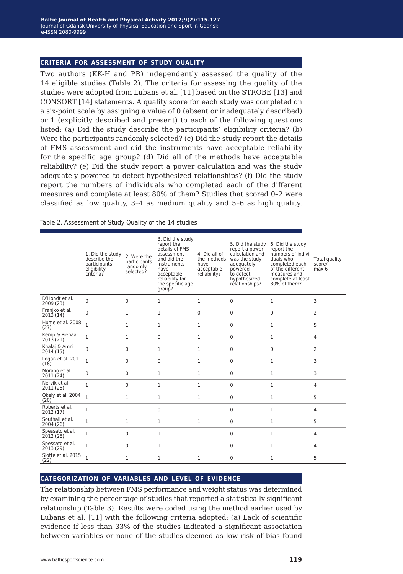### **criteria for assessment of study quality**

Two authors (KK-H and PR) independently assessed the quality of the 14 eligible studies (Table 2). The criteria for assessing the quality of the studies were adopted from Lubans et al. [11] based on the STROBE [13] and CONSORT [14] statements. A quality score for each study was completed on a six-point scale by assigning a value of 0 (absent or inadequately described) or 1 (explicitly described and present) to each of the following questions listed: (a) Did the study describe the participants' eligibility criteria? (b) Were the participants randomly selected? (c) Did the study report the details of FMS assessment and did the instruments have acceptable reliability for the specific age group? (d) Did all of the methods have acceptable reliability? (e) Did the study report a power calculation and was the study adequately powered to detect hypothesized relationships? (f) Did the study report the numbers of individuals who completed each of the different measures and complete at least 80% of them? Studies that scored 0–2 were classified as low quality, 3–4 as medium quality and 5–6 as high quality.

#### Table 2. Assessment of Study Quality of the 14 studies

|                              | 1. Did the study<br>describe the<br>participants'<br>eligibility<br>criteria? | 2. Were the<br>participants<br>randomly<br>selected? | 3. Did the study<br>report the<br>details of FMS<br>assessment<br>and did the<br>instruments<br>have<br>acceptable<br>reliability for<br>the specific age<br>group? | 4. Did all of<br>the methods<br>have<br>acceptable<br>reliability? | 5. Did the study<br>report a power<br>calculation and<br>was the study<br>adequately<br>powered<br>to detect<br>hypothesized<br>relationships? | 6. Did the study<br>report the<br>numbers of indivi<br>duals who<br>completed each<br>of the different<br>measures and<br>complete at least<br>80% of them? | Total quality<br>score/<br>max 6 |
|------------------------------|-------------------------------------------------------------------------------|------------------------------------------------------|---------------------------------------------------------------------------------------------------------------------------------------------------------------------|--------------------------------------------------------------------|------------------------------------------------------------------------------------------------------------------------------------------------|-------------------------------------------------------------------------------------------------------------------------------------------------------------|----------------------------------|
| D'Hondt et al.<br>2009 (23)  | 0                                                                             | 0                                                    | 1                                                                                                                                                                   | $\mathbf{1}$                                                       | $\mathbf 0$                                                                                                                                    | 1                                                                                                                                                           | 3                                |
| Franjko et al.<br>2013(14)   | 0                                                                             | 1                                                    | 1                                                                                                                                                                   | $\mathbf 0$                                                        | $\mathbf 0$                                                                                                                                    | 0                                                                                                                                                           | 2                                |
| Hume et al. 2008<br>(27)     | $\mathbf{1}$                                                                  | 1                                                    | 1                                                                                                                                                                   | $\mathbf{1}$                                                       | $\mathbf 0$                                                                                                                                    | 1                                                                                                                                                           | 5                                |
| Kemp & Pienaar<br>2013(21)   | 1                                                                             | 1                                                    | 0                                                                                                                                                                   | $\mathbf{1}$                                                       | $\mathbf 0$                                                                                                                                    | 1                                                                                                                                                           | 4                                |
| Khalaj & Amri<br>2014 (15)   | $\Omega$                                                                      | 0                                                    | 1                                                                                                                                                                   | $\mathbf{1}$                                                       | $\Omega$                                                                                                                                       | 0                                                                                                                                                           | 2                                |
| Logan et al. 2011<br>(16)    | $\mathbf{1}$                                                                  | $\mathbf 0$                                          | 0                                                                                                                                                                   | $\mathbf{1}$                                                       | $\mathbf 0$                                                                                                                                    | 1                                                                                                                                                           | 3                                |
| Morano et al.<br>2011 (24)   | $\Omega$                                                                      | 0                                                    | 1                                                                                                                                                                   | $\mathbf{1}$                                                       | $\Omega$                                                                                                                                       | 1                                                                                                                                                           | 3                                |
| Nervik et al.<br>2011 (25)   | $\mathbf{1}$                                                                  | $\mathbf{0}$                                         | 1                                                                                                                                                                   | $\mathbf{1}$                                                       | $\Omega$                                                                                                                                       | $\mathbf{1}$                                                                                                                                                | 4                                |
| Okely et al. 2004<br>(20)    | $\mathbf{1}$                                                                  | 1                                                    | 1                                                                                                                                                                   | $\mathbf{1}$                                                       | $\Omega$                                                                                                                                       | 1                                                                                                                                                           | 5                                |
| Roberts et al.<br>2012 (17)  | $\mathbf{1}$                                                                  | 1                                                    | $\Omega$                                                                                                                                                            | 1                                                                  | $\Omega$                                                                                                                                       | 1                                                                                                                                                           | 4                                |
| Southall et al.<br>2004 (26) | 1                                                                             | 1                                                    | 1                                                                                                                                                                   | $\mathbf{1}$                                                       | $\mathbf 0$                                                                                                                                    | 1                                                                                                                                                           | 5                                |
| Spessato et al.<br>2012 (28) | $\mathbf{1}$                                                                  | $\mathbf{0}$                                         | $\mathbf{1}$                                                                                                                                                        | $\mathbf{1}$                                                       | $\Omega$                                                                                                                                       | $\mathbf{1}$                                                                                                                                                | 4                                |
| Spessato et al.<br>2013 (29) | 1                                                                             | 0                                                    | 1                                                                                                                                                                   | $\mathbf{1}$                                                       | $\mathbf 0$                                                                                                                                    | 1                                                                                                                                                           | 4                                |
| Slotte et al. 2015<br>(22)   | $\mathbf{1}$                                                                  | 1                                                    | $\mathbf{1}$                                                                                                                                                        | $\mathbf{1}$                                                       | $\Omega$                                                                                                                                       | $\mathbf{1}$                                                                                                                                                | 5                                |

## **categorization of variables and level of evidence**

The relationship between FMS performance and weight status was determined by examining the percentage of studies that reported a statistically significant relationship (Table 3). Results were coded using the method earlier used by Lubans et al. [11] with the following criteria adopted: (a) Lack of scientific evidence if less than 33% of the studies indicated a significant association between variables or none of the studies deemed as low risk of bias found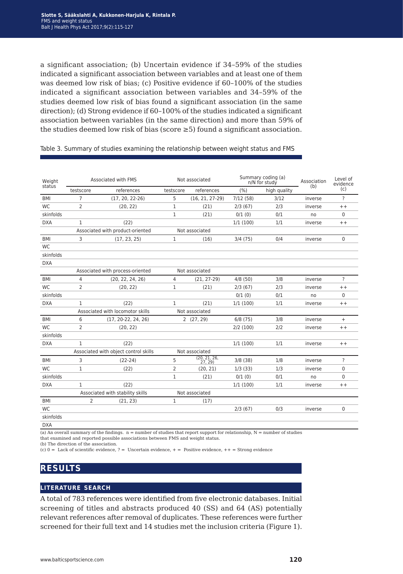a significant association; (b) Uncertain evidence if 34–59% of the studies indicated a significant association between variables and at least one of them was deemed low risk of bias; (c) Positive evidence if 60–100% of the studies indicated a significant association between variables and 34–59% of the studies deemed low risk of bias found a significant association (in the same direction); (d) Strong evidence if 60–100% of the studies indicated a significant association between variables (in the same direction) and more than 59% of the studies deemed low risk of bias (score  $\geq$ 5) found a significant association.

| Weight     | Associated with FMS                                     |                                  | Not associated |                      | Summary coding (a)<br>n/N for study |              | Association | Level of<br>evidence     |
|------------|---------------------------------------------------------|----------------------------------|----------------|----------------------|-------------------------------------|--------------|-------------|--------------------------|
| status     | testscore                                               | references                       | testscore      | references           | (%)                                 | high quality | (b)         | (c)                      |
| <b>BMI</b> | $\overline{7}$                                          | $(17, 20, 22-26)$                | 5              | $(16, 21, 27-29)$    | 7/12(58)                            | 3/12         | inverse     | ?                        |
| <b>WC</b>  | 2                                                       | (20, 22)                         | 1              | (21)                 | 2/3(67)                             | 2/3          | inverse     | $++$                     |
| skinfolds  |                                                         |                                  | 1              | (21)                 | 0/1(0)                              | 0/1          | no          | $\mathbf 0$              |
| <b>DXA</b> | 1                                                       | (22)                             |                |                      | 1/1(100)                            | 1/1          | inverse     | $++$                     |
|            |                                                         | Associated with product-oriented |                | Not associated       |                                     |              |             |                          |
| <b>BMI</b> | 3                                                       | (17, 23, 25)                     | 1              | (16)                 | 3/4(75)                             | 0/4          | inverse     | $\mathbf 0$              |
| <b>WC</b>  |                                                         |                                  |                |                      |                                     |              |             |                          |
| skinfolds  |                                                         |                                  |                |                      |                                     |              |             |                          |
| <b>DXA</b> |                                                         |                                  |                |                      |                                     |              |             |                          |
|            |                                                         | Associated with process-oriented |                | Not associated       |                                     |              |             |                          |
| <b>BMI</b> | 4                                                       | (20, 22, 24, 26)                 | 4              | $(21, 27-29)$        | 4/8(50)                             | 3/8          | inverse     | $\overline{\phantom{0}}$ |
| <b>WC</b>  | $\overline{2}$                                          | (20, 22)                         | $\mathbf{1}$   | (21)                 | 2/3(67)                             | 2/3          | inverse     | $++$                     |
| skinfolds  |                                                         |                                  |                |                      | 0/1(0)                              | 0/1          | no          | $\Omega$                 |
| <b>DXA</b> | 1                                                       | (22)                             | $\mathbf{1}$   | (21)                 | 1/1(100)                            | 1/1          | inverse     | $++$                     |
|            |                                                         | Associated with locomotor skills |                | Not associated       |                                     |              |             |                          |
| <b>BMI</b> | 6                                                       | $(17, 20-22, 24, 26)$            |                | 2(27, 29)            |                                     | 3/8          | inverse     | $\ddot{}$                |
| <b>WC</b>  | 2                                                       | (20, 22)                         |                |                      | 2/2(100)                            | 2/2          | inverse     | $++$                     |
| skinfolds  |                                                         |                                  |                |                      |                                     |              |             |                          |
| <b>DXA</b> | $\mathbf{1}$                                            | (22)                             |                |                      | 1/1(100)                            | 1/1          | inverse     | $++$                     |
|            | Associated with object control skills<br>Not associated |                                  |                |                      |                                     |              |             |                          |
| <b>BMI</b> | 3                                                       | $(22-24)$                        | 5              | (20.21.26.<br>27, 29 | 3/8(38)                             | 1/8          | inverse     | $\overline{\cdot}$       |
| <b>WC</b>  | 1                                                       | (22)                             | 2              | (20, 21)             | 1/3(33)                             | 1/3          | inverse     | 0                        |
| skinfolds  |                                                         |                                  | 1              | (21)                 | 0/1(0)                              | 0/1          | no          | $\mathbf 0$              |
| <b>DXA</b> | 1                                                       | (22)                             |                |                      | 1/1(100)                            | 1/1          | inverse     | $++$                     |
|            |                                                         | Associated with stability skills |                | Not associated       |                                     |              |             |                          |
| BMI        | 2                                                       | (21, 23)                         | 1              | (17)                 |                                     |              |             |                          |
| <b>WC</b>  |                                                         |                                  |                |                      | 2/3(67)                             | 0/3          | inverse     | $\Omega$                 |
| skinfolds  |                                                         |                                  |                |                      |                                     |              |             |                          |
|            |                                                         |                                  |                |                      |                                     |              |             |                          |

#### Table 3. Summary of studies examining the relationship between weight status and FMS

DXA

(a) An overall summary of the findings.  $n =$  number of studies that report support for relationship,  $N =$  number of studies that examined and reported possible associations between FMS and weight status.

(b) The direction of the association.

(c)  $0 =$  Lack of scientific evidence,  $? =$  Uncertain evidence,  $+$  = Positive evidence,  $++$  = Strong evidence

# **results**

# **literature search**

A total of 783 references were identified from five electronic databases. Initial screening of titles and abstracts produced 40 (SS) and 64 (AS) potentially relevant references after removal of duplicates. These references were further screened for their full text and 14 studies met the inclusion criteria (Figure 1).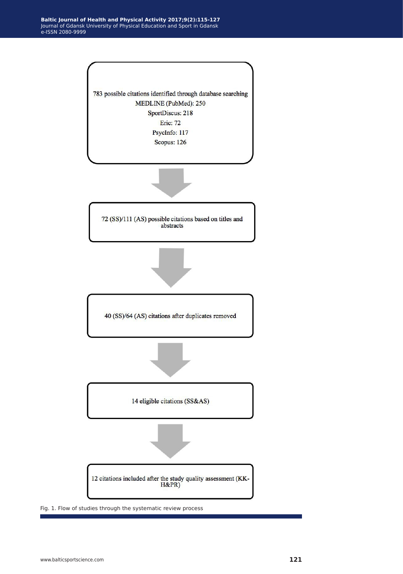

Fig. 1. Flow of studies through the systematic review process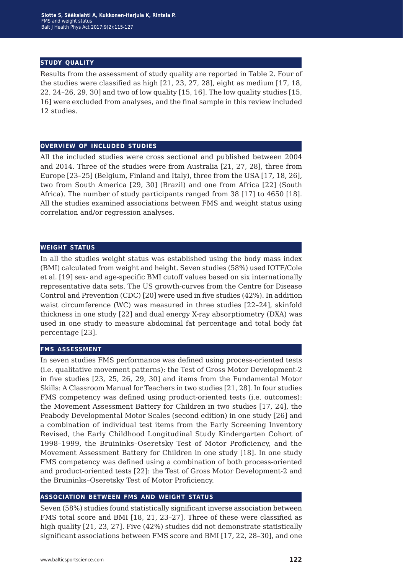### **study quality**

Results from the assessment of study quality are reported in Table 2. Four of the studies were classified as high [21, 23, 27, 28], eight as medium [17, 18, 22, 24–26, 29, 30] and two of low quality [15, 16]. The low quality studies [15, 16] were excluded from analyses, and the final sample in this review included 12 studies.

## **overview of included studies**

All the included studies were cross sectional and published between 2004 and 2014. Three of the studies were from Australia [21, 27, 28], three from Europe [23–25] (Belgium, Finland and Italy), three from the USA [17, 18, 26], two from South America [29, 30] (Brazil) and one from Africa [22] (South Africa). The number of study participants ranged from 38 [17] to 4650 [18]. All the studies examined associations between FMS and weight status using correlation and/or regression analyses.

### **weight status**

In all the studies weight status was established using the body mass index (BMI) calculated from weight and height. Seven studies (58%) used IOTF/Cole et al. [19] sex- and age-specific BMI cutoff values based on six internationally representative data sets. The US growth-curves from the Centre for Disease Control and Prevention (CDC) [20] were used in five studies (42%). In addition waist circumference (WC) was measured in three studies [22–24], skinfold thickness in one study [22] and dual energy X-ray absorptiometry (DXA) was used in one study to measure abdominal fat percentage and total body fat percentage [23].

### **fms assessment**

In seven studies FMS performance was defined using process-oriented tests (i.e. qualitative movement patterns): the Test of Gross Motor Development-2 in five studies [23, 25, 26, 29, 30] and items from the Fundamental Motor Skills: A Classroom Manual for Teachers in two studies [21, 28]. In four studies FMS competency was defined using product-oriented tests (i.e. outcomes): the Movement Assessment Battery for Children in two studies [17, 24], the Peabody Developmental Motor Scales (second edition) in one study [26] and a combination of individual test items from the Early Screening Inventory Revised, the Early Childhood Longitudinal Study Kindergarten Cohort of 1998–1999, the Bruininks–Oseretsky Test of Motor Proficiency, and the Movement Assessment Battery for Children in one study [18]. In one study FMS competency was defined using a combination of both process-oriented and product-oriented tests [22]: the Test of Gross Motor Development-2 and the Bruininks–Oseretsky Test of Motor Proficiency.

### **association between fms and weight status**

Seven (58%) studies found statistically significant inverse association between FMS total score and BMI [18, 21, 23–27]. Three of these were classified as high quality [21, 23, 27]. Five (42%) studies did not demonstrate statistically significant associations between FMS score and BMI [17, 22, 28–30], and one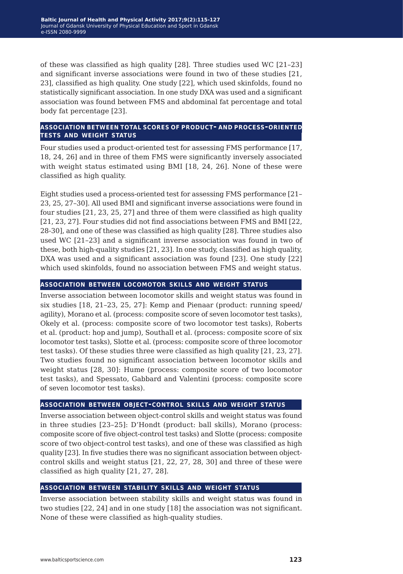of these was classified as high quality [28]. Three studies used WC [21–23] and significant inverse associations were found in two of these studies [21, 23], classified as high quality. One study [22], which used skinfolds, found no statistically significant association. In one study DXA was used and a significant association was found between FMS and abdominal fat percentage and total body fat percentage [23].

## **association between total scores of product- and process-oriented tests and weight status**

Four studies used a product-oriented test for assessing FMS performance [17, 18, 24, 26] and in three of them FMS were significantly inversely associated with weight status estimated using BMI [18, 24, 26]. None of these were classified as high quality.

Eight studies used a process-oriented test for assessing FMS performance [21– 23, 25, 27–30]. All used BMI and significant inverse associations were found in four studies [21, 23, 25, 27] and three of them were classified as high quality [21, 23, 27]. Four studies did not find associations between FMS and BMI [22, 28-30], and one of these was classified as high quality [28]. Three studies also used WC [21–23] and a significant inverse association was found in two of these, both high-quality studies [21, 23]. In one study, classified as high quality, DXA was used and a significant association was found [23]. One study [22] which used skinfolds, found no association between FMS and weight status.

# **association between locomotor skills and weight status**

Inverse association between locomotor skills and weight status was found in six studies [18, 21–23, 25, 27]: Kemp and Pienaar (product: running speed/ agility), Morano et al. (process: composite score of seven locomotor test tasks), Okely et al. (process: composite score of two locomotor test tasks), Roberts et al. (product: hop and jump), Southall et al. (process: composite score of six locomotor test tasks), Slotte et al. (process: composite score of three locomotor test tasks). Of these studies three were classified as high quality [21, 23, 27]. Two studies found no significant association between locomotor skills and weight status [28, 30]: Hume (process: composite score of two locomotor test tasks), and Spessato, Gabbard and Valentini (process: composite score of seven locomotor test tasks).

## **association between object-control skills and weight status**

Inverse association between object-control skills and weight status was found in three studies [23–25]: D'Hondt (product: ball skills), Morano (process: composite score of five object-control test tasks) and Slotte (process: composite score of two object-control test tasks), and one of these was classified as high quality [23]. In five studies there was no significant association between objectcontrol skills and weight status [21, 22, 27, 28, 30] and three of these were classified as high quality [21, 27, 28].

## **association between stability skills and weight status**

Inverse association between stability skills and weight status was found in two studies [22, 24] and in one study [18] the association was not significant. None of these were classified as high-quality studies.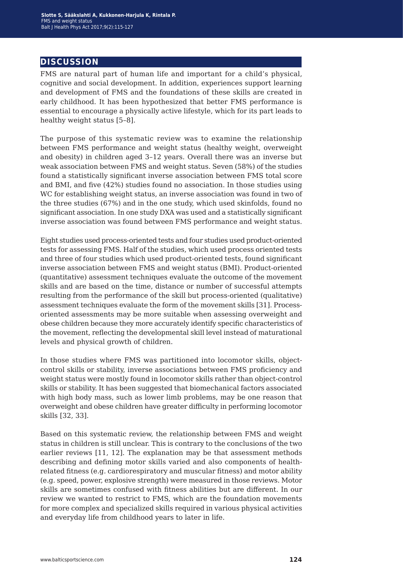# **discussion**

FMS are natural part of human life and important for a child's physical, cognitive and social development. In addition, experiences support learning and development of FMS and the foundations of these skills are created in early childhood. It has been hypothesized that better FMS performance is essential to encourage a physically active lifestyle, which for its part leads to healthy weight status [5–8].

The purpose of this systematic review was to examine the relationship between FMS performance and weight status (healthy weight, overweight and obesity) in children aged 3–12 years. Overall there was an inverse but weak association between FMS and weight status. Seven (58%) of the studies found a statistically significant inverse association between FMS total score and BMI, and five (42%) studies found no association. In those studies using WC for establishing weight status, an inverse association was found in two of the three studies (67%) and in the one study, which used skinfolds, found no significant association. In one study DXA was used and a statistically significant inverse association was found between FMS performance and weight status.

Eight studies used process-oriented tests and four studies used product-oriented tests for assessing FMS. Half of the studies, which used process oriented tests and three of four studies which used product-oriented tests, found significant inverse association between FMS and weight status (BMI). Product-oriented (quantitative) assessment techniques evaluate the outcome of the movement skills and are based on the time, distance or number of successful attempts resulting from the performance of the skill but process-oriented (qualitative) assessment techniques evaluate the form of the movement skills [31]. Processoriented assessments may be more suitable when assessing overweight and obese children because they more accurately identify specific characteristics of the movement, reflecting the developmental skill level instead of maturational levels and physical growth of children.

In those studies where FMS was partitioned into locomotor skills, objectcontrol skills or stability, inverse associations between FMS proficiency and weight status were mostly found in locomotor skills rather than object-control skills or stability. It has been suggested that biomechanical factors associated with high body mass, such as lower limb problems, may be one reason that overweight and obese children have greater difficulty in performing locomotor skills [32, 33].

Based on this systematic review, the relationship between FMS and weight status in children is still unclear. This is contrary to the conclusions of the two earlier reviews [11, 12]. The explanation may be that assessment methods describing and defining motor skills varied and also components of healthrelated fitness (e.g. cardiorespiratory and muscular fitness) and motor ability (e.g. speed, power, explosive strength) were measured in those reviews. Motor skills are sometimes confused with fitness abilities but are different. In our review we wanted to restrict to FMS, which are the foundation movements for more complex and specialized skills required in various physical activities and everyday life from childhood years to later in life.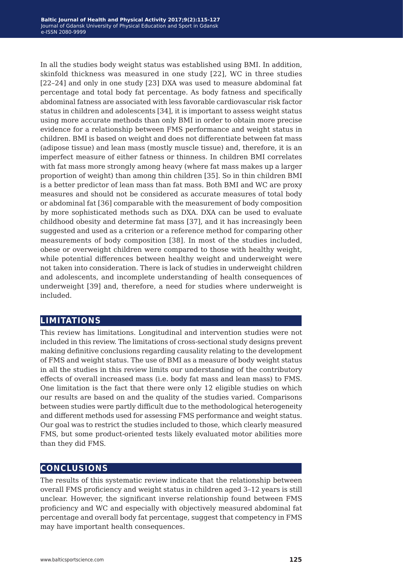In all the studies body weight status was established using BMI. In addition, skinfold thickness was measured in one study [22], WC in three studies [22–24] and only in one study [23] DXA was used to measure abdominal fat percentage and total body fat percentage. As body fatness and specifically abdominal fatness are associated with less favorable cardiovascular risk factor status in children and adolescents [34], it is important to assess weight status using more accurate methods than only BMI in order to obtain more precise evidence for a relationship between FMS performance and weight status in children. BMI is based on weight and does not differentiate between fat mass (adipose tissue) and lean mass (mostly muscle tissue) and, therefore, it is an imperfect measure of either fatness or thinness. In children BMI correlates with fat mass more strongly among heavy (where fat mass makes up a larger proportion of weight) than among thin children [35]. So in thin children BMI is a better predictor of lean mass than fat mass. Both BMI and WC are proxy measures and should not be considered as accurate measures of total body or abdominal fat [36] comparable with the measurement of body composition by more sophisticated methods such as DXA. DXA can be used to evaluate childhood obesity and determine fat mass [37], and it has increasingly been suggested and used as a criterion or a reference method for comparing other measurements of body composition [38]. In most of the studies included, obese or overweight children were compared to those with healthy weight, while potential differences between healthy weight and underweight were not taken into consideration. There is lack of studies in underweight children and adolescents, and incomplete understanding of health consequences of underweight [39] and, therefore, a need for studies where underweight is included.

# **limitations**

This review has limitations. Longitudinal and intervention studies were not included in this review. The limitations of cross-sectional study designs prevent making definitive conclusions regarding causality relating to the development of FMS and weight status. The use of BMI as a measure of body weight status in all the studies in this review limits our understanding of the contributory effects of overall increased mass (i.e. body fat mass and lean mass) to FMS. One limitation is the fact that there were only 12 eligible studies on which our results are based on and the quality of the studies varied. Comparisons between studies were partly difficult due to the methodological heterogeneity and different methods used for assessing FMS performance and weight status. Our goal was to restrict the studies included to those, which clearly measured FMS, but some product-oriented tests likely evaluated motor abilities more than they did FMS.

# **conclusions**

The results of this systematic review indicate that the relationship between overall FMS proficiency and weight status in children aged 3–12 years is still unclear. However, the significant inverse relationship found between FMS proficiency and WC and especially with objectively measured abdominal fat percentage and overall body fat percentage, suggest that competency in FMS may have important health consequences.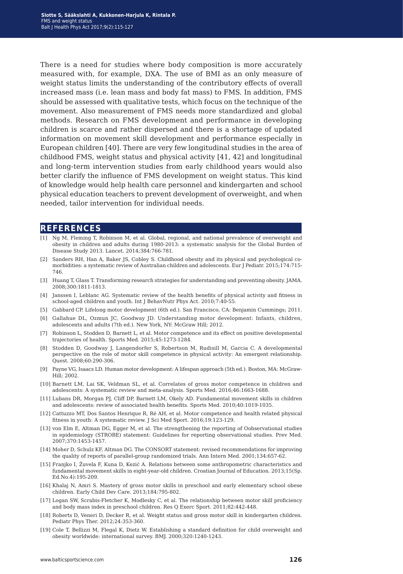There is a need for studies where body composition is more accurately measured with, for example, DXA. The use of BMI as an only measure of weight status limits the understanding of the contributory effects of overall increased mass (i.e. lean mass and body fat mass) to FMS. In addition, FMS should be assessed with qualitative tests, which focus on the technique of the movement. Also measurement of FMS needs more standardized and global methods. Research on FMS development and performance in developing children is scarce and rather dispersed and there is a shortage of updated information on movement skill development and performance especially in European children [40]. There are very few longitudinal studies in the area of childhood FMS, weight status and physical activity [41, 42] and longitudinal and long-term intervention studies from early childhood years would also better clarify the influence of FMS development on weight status. This kind of knowledge would help health care personnel and kindergarten and school physical education teachers to prevent development of overweight, and when needed, tailor intervention for individual needs.

## **references**

- [1] Ng M, Fleming T, Robinson M, et al. Global, regional, and national prevalence of overweight and obesity in children and adults during 1980-2013: a systematic analysis for the Global Burden of Disease Study 2013. Lancet. 2014;384:766-781.
- [2] Sanders RH, Han A, Baker JS, Cobley S. Childhood obesity and its physical and psychological comorbidities: a systematic review of Australian children and adolescents. Eur J Pediatr. 2015;174:715- 746.
- [3] Huang T, Glass T. Transforming research strategies for understanding and preventing obesity. JAMA. 2008;300:1811-1813.
- [4] Janssen I, Leblanc AG. Systematic review of the health benefits of physical activity and fitness in school-aged children and youth. Int J BehavNutr Phys Act. 2010;7:40-55.
- [5] Gabbard CP. Lifelong motor development (6th ed.). San Francisco, CA: Benjamin Cummings; 2011.
- [6] Gallahue DL, Ozmun JC, Goodway JD. Understanding motor development: Infants, children, adolescents and adults (7th ed.). New York, NY: McGraw Hill; 2012.
- [7] Robinson L, Stodden D, Barnett L, et al. Motor competence and its effect on positive developmental trajectories of health. Sports Med. 2015;45:1273-1284.
- [8] Stodden D, Goodway J, Langendorfer S, Robertson M, Rudisill M, Garcia C. A developmental perspective on the role of motor skill competence in physical activity: An emergent relationship. Quest. 2008;60:290-306.
- [9] Payne VG, Isaacs LD. Human motor development: A lifespan approach (5th ed.). Boston, MA: McGraw-Hill; 2002.
- [10] Barnett LM, Lai SK, Veldman SL, et al. Correlates of gross motor competence in children and adolescents: A systematic review and meta-analysis. Sports Med. 2016;46:1663-1688.
- [11] Lubans DR, Morgan PJ, Cliff DP, Barnett LM, Okely AD. Fundamental movement skills in children and adolescents: review of associated health benefits. Sports Med. 2010;40:1019-1035.
- [12] Cattuzzo MT, Dos Santos Henrique R, Ré AH, et al. Motor competence and health related physical fitness in youth: A systematic review. J Sci Med Sport. 2016;19:123-129.
- [13] von Elm E, Altman DG, Egger M, et al. The strengthening the reporting of Oobservational studies in epidemiology (STROBE) statement: Guidelines for reporting observational studies. Prev Med. 2007;370:1453-1457.
- [14] Moher D, Schulz KF, Altman DG. The CONSORT statement: revised recommendations for improving the quality of reports of parallel-group randomized trials. Ann Intern Med. 2001;134:657-62.
- [15] Franjko I, Žuvela F, Kuna D, Kezić A. Relations between some anthropometric characteristics and fundamental movement skills in eight-year-old children. Croatian Journal of Education. 2013;15(Sp. Ed.No.4):195-209.
- [16] Khalaj N, Amri S. Mastery of gross motor skills in preschool and early elementary school obese children. Early Child Dev Care. 2013;184:795-802.
- [17] Logan SW, Scrabis-Fletcher K, Modlesky C, et al. The relationship between motor skill proficiency and body mass index in preschool children. Res Q Exerc Sport. 2011;82:442-448.
- [18] Roberts D, Veneri D, Decker R, et al. Weight status and gross motor skill in kindergarten children. Pediatr Phys Ther. 2012;24:353-360.
- [19] Cole T, Bellizzi M, Flegal K, Dietz W. Establishing a standard definition for child overweight and obesity worldwide: international survey. BMJ. 2000;320:1240-1243.